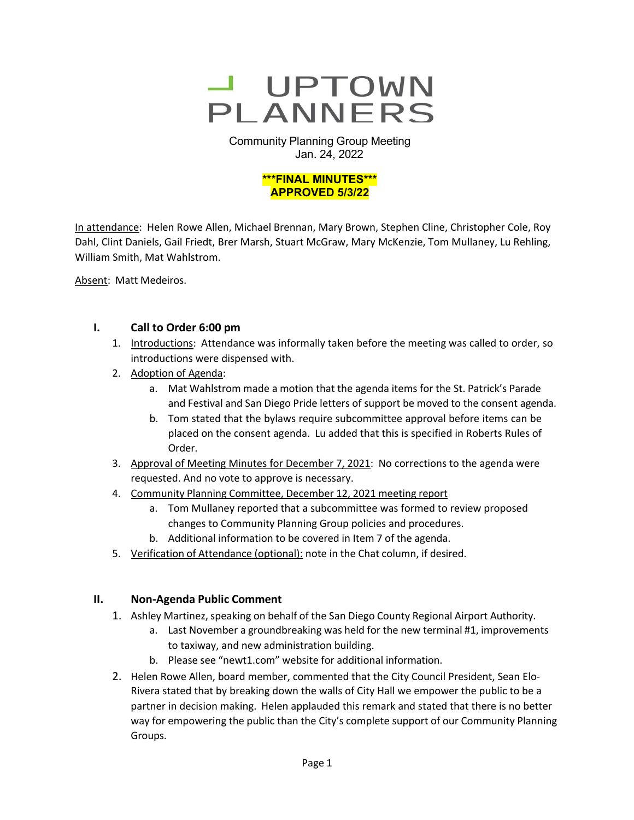

Community Planning Group Meeting Jan. 24, 2022



In attendance: Helen Rowe Allen, Michael Brennan, Mary Brown, Stephen Cline, Christopher Cole, Roy Dahl, Clint Daniels, Gail Friedt, Brer Marsh, Stuart McGraw, Mary McKenzie, Tom Mullaney, Lu Rehling, William Smith, Mat Wahlstrom.

Absent: Matt Medeiros.

# **I. Call to Order 6:00 pm**

- 1. Introductions: Attendance was informally taken before the meeting was called to order, so introductions were dispensed with.
- 2. Adoption of Agenda:
	- a. Mat Wahlstrom made a motion that the agenda items for the St. Patrick's Parade and Festival and San Diego Pride letters of support be moved to the consent agenda.
	- b. Tom stated that the bylaws require subcommittee approval before items can be placed on the consent agenda. Lu added that this is specified in Roberts Rules of Order.
- 3. Approval of Meeting Minutes for December 7, 2021: No corrections to the agenda were requested. And no vote to approve is necessary.
- 4. Community Planning Committee, December 12, 2021 meeting report
	- a. Tom Mullaney reported that a subcommittee was formed to review proposed changes to Community Planning Group policies and procedures.
	- b. Additional information to be covered in Item 7 of the agenda.
- 5. Verification of Attendance (optional): note in the Chat column, if desired.

# **II. Non-Agenda Public Comment**

- 1. Ashley Martinez, speaking on behalf of the San Diego County Regional Airport Authority.
	- a. Last November a groundbreaking was held for the new terminal #1, improvements to taxiway, and new administration building.
	- b. Please see "newt1.com" website for additional information.
- 2. Helen Rowe Allen, board member, commented that the City Council President, Sean Elo-Rivera stated that by breaking down the walls of City Hall we empower the public to be a partner in decision making. Helen applauded this remark and stated that there is no better way for empowering the public than the City's complete support of our Community Planning Groups.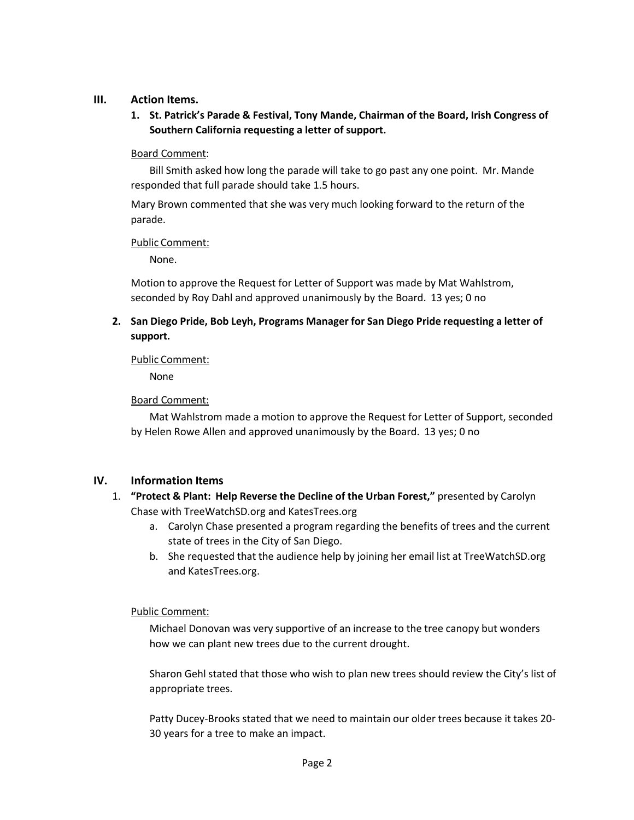## **III. Action Items.**

**1. St. Patrick's Parade & Festival, Tony Mande, Chairman of the Board, Irish Congress of Southern California requesting a letter of support.**

## Board Comment:

Bill Smith asked how long the parade will take to go past any one point. Mr. Mande responded that full parade should take 1.5 hours.

Mary Brown commented that she was very much looking forward to the return of the parade.

## Public Comment:

None.

Motion to approve the Request for Letter of Support was made by Mat Wahlstrom, seconded by Roy Dahl and approved unanimously by the Board. 13 yes; 0 no

**2. San Diego Pride, Bob Leyh, Programs Manager for San Diego Pride requesting a letter of support.**

## Public Comment:

None

# Board Comment:

Mat Wahlstrom made a motion to approve the Request for Letter of Support, seconded by Helen Rowe Allen and approved unanimously by the Board. 13 yes; 0 no

# **IV. Information Items**

- 1. **"Protect & Plant: Help Reverse the Decline of the Urban Forest,"** presented by Carolyn Chase with TreeWatchSD.org and KatesTrees.org
	- a. Carolyn Chase presented a program regarding the benefits of trees and the current state of trees in the City of San Diego.
	- b. She requested that the audience help by joining her email list at TreeWatchSD.org and KatesTrees.org.

# Public Comment:

Michael Donovan was very supportive of an increase to the tree canopy but wonders how we can plant new trees due to the current drought.

Sharon Gehl stated that those who wish to plan new trees should review the City's list of appropriate trees.

Patty Ducey-Brooks stated that we need to maintain our older trees because it takes 20- 30 years for a tree to make an impact.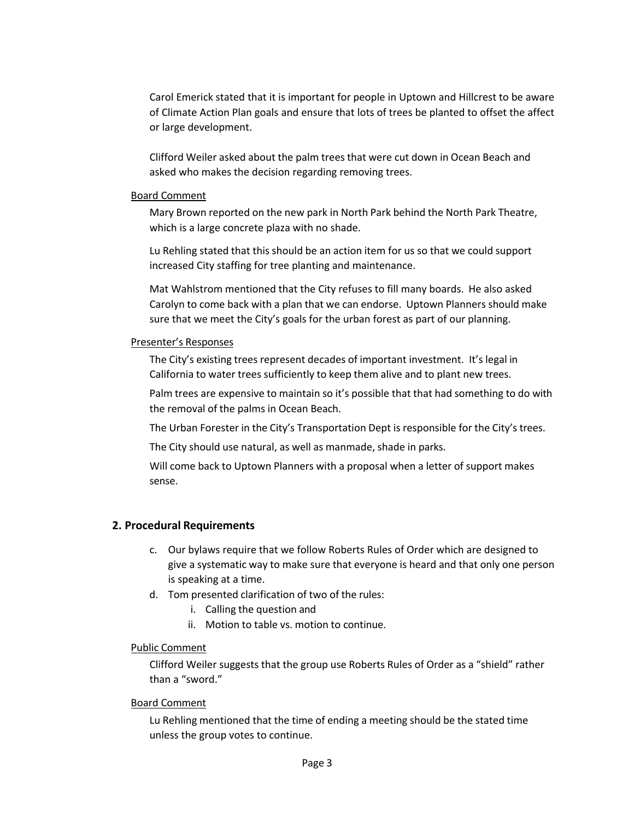Carol Emerick stated that it is important for people in Uptown and Hillcrest to be aware of Climate Action Plan goals and ensure that lots of trees be planted to offset the affect or large development.

Clifford Weiler asked about the palm trees that were cut down in Ocean Beach and asked who makes the decision regarding removing trees.

### Board Comment

Mary Brown reported on the new park in North Park behind the North Park Theatre, which is a large concrete plaza with no shade.

Lu Rehling stated that this should be an action item for us so that we could support increased City staffing for tree planting and maintenance.

Mat Wahlstrom mentioned that the City refuses to fill many boards. He also asked Carolyn to come back with a plan that we can endorse. Uptown Planners should make sure that we meet the City's goals for the urban forest as part of our planning.

### Presenter's Responses

The City's existing trees represent decades of important investment. It's legal in California to water trees sufficiently to keep them alive and to plant new trees.

Palm trees are expensive to maintain so it's possible that that had something to do with the removal of the palms in Ocean Beach.

The Urban Forester in the City's Transportation Dept is responsible for the City's trees.

The City should use natural, as well as manmade, shade in parks.

Will come back to Uptown Planners with a proposal when a letter of support makes sense.

# **2. Procedural Requirements**

- c. Our bylaws require that we follow Roberts Rules of Order which are designed to give a systematic way to make sure that everyone is heard and that only one person is speaking at a time.
- d. Tom presented clarification of two of the rules:
	- i. Calling the question and
	- ii. Motion to table vs. motion to continue.

## Public Comment

Clifford Weiler suggests that the group use Roberts Rules of Order as a "shield" rather than a "sword."

## Board Comment

Lu Rehling mentioned that the time of ending a meeting should be the stated time unless the group votes to continue.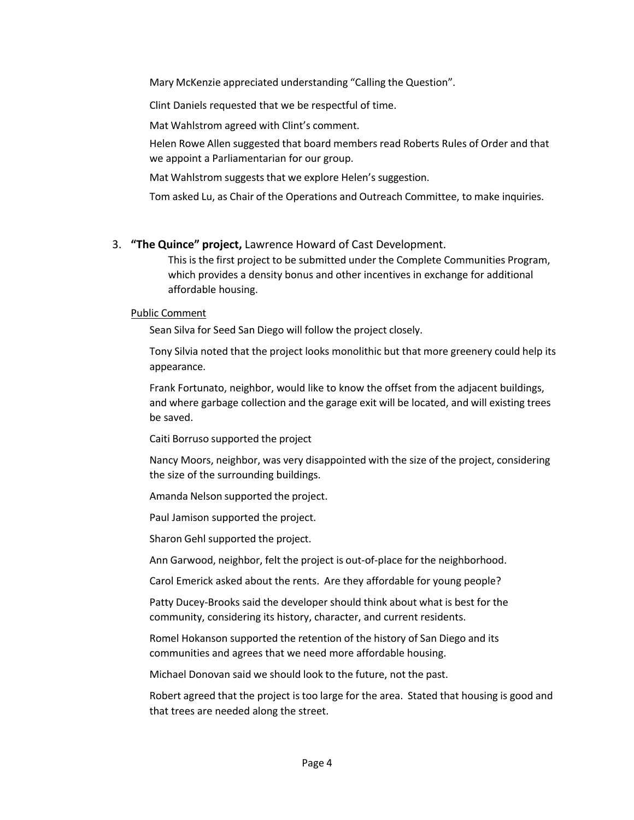Mary McKenzie appreciated understanding "Calling the Question".

Clint Daniels requested that we be respectful of time.

Mat Wahlstrom agreed with Clint's comment.

Helen Rowe Allen suggested that board members read Roberts Rules of Order and that we appoint a Parliamentarian for our group.

Mat Wahlstrom suggests that we explore Helen's suggestion.

Tom asked Lu, as Chair of the Operations and Outreach Committee, to make inquiries.

# 3. **"The Quince" project,** Lawrence Howard of Cast Development.

This is the first project to be submitted under the Complete Communities Program, which provides a density bonus and other incentives in exchange for additional affordable housing.

## Public Comment

Sean Silva for Seed San Diego will follow the project closely.

Tony Silvia noted that the project looks monolithic but that more greenery could help its appearance.

Frank Fortunato, neighbor, would like to know the offset from the adjacent buildings, and where garbage collection and the garage exit will be located, and will existing trees be saved.

Caiti Borruso supported the project

Nancy Moors, neighbor, was very disappointed with the size of the project, considering the size of the surrounding buildings.

Amanda Nelson supported the project.

Paul Jamison supported the project.

Sharon Gehl supported the project.

Ann Garwood, neighbor, felt the project is out-of-place for the neighborhood.

Carol Emerick asked about the rents. Are they affordable for young people?

Patty Ducey-Brooks said the developer should think about what is best for the community, considering its history, character, and current residents.

Romel Hokanson supported the retention of the history of San Diego and its communities and agrees that we need more affordable housing.

Michael Donovan said we should look to the future, not the past.

Robert agreed that the project is too large for the area. Stated that housing is good and that trees are needed along the street.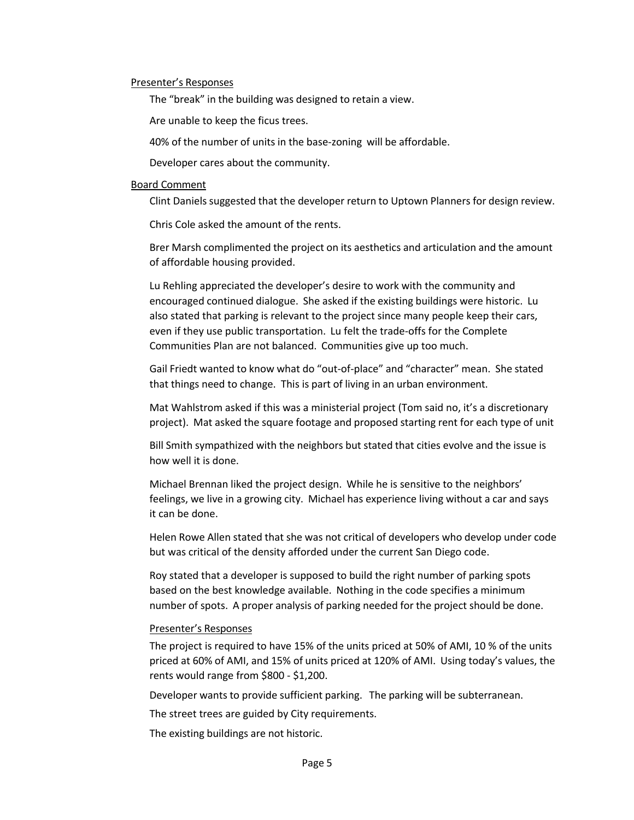#### Presenter's Responses

The "break" in the building was designed to retain a view.

Are unable to keep the ficus trees.

40% of the number of units in the base-zoning will be affordable.

Developer cares about the community.

#### Board Comment

Clint Daniels suggested that the developer return to Uptown Planners for design review.

Chris Cole asked the amount of the rents.

Brer Marsh complimented the project on its aesthetics and articulation and the amount of affordable housing provided.

Lu Rehling appreciated the developer's desire to work with the community and encouraged continued dialogue. She asked if the existing buildings were historic. Lu also stated that parking is relevant to the project since many people keep their cars, even if they use public transportation. Lu felt the trade-offs for the Complete Communities Plan are not balanced. Communities give up too much.

Gail Friedt wanted to know what do "out-of-place" and "character" mean. She stated that things need to change. This is part of living in an urban environment.

Mat Wahlstrom asked if this was a ministerial project (Tom said no, it's a discretionary project). Mat asked the square footage and proposed starting rent for each type of unit

Bill Smith sympathized with the neighbors but stated that cities evolve and the issue is how well it is done.

Michael Brennan liked the project design. While he is sensitive to the neighbors' feelings, we live in a growing city. Michael has experience living without a car and says it can be done.

Helen Rowe Allen stated that she was not critical of developers who develop under code but was critical of the density afforded under the current San Diego code.

Roy stated that a developer is supposed to build the right number of parking spots based on the best knowledge available. Nothing in the code specifies a minimum number of spots. A proper analysis of parking needed for the project should be done.

#### Presenter's Responses

The project is required to have 15% of the units priced at 50% of AMI, 10 % of the units priced at 60% of AMI, and 15% of units priced at 120% of AMI. Using today's values, the rents would range from \$800 - \$1,200.

Developer wants to provide sufficient parking. The parking will be subterranean.

The street trees are guided by City requirements.

The existing buildings are not historic.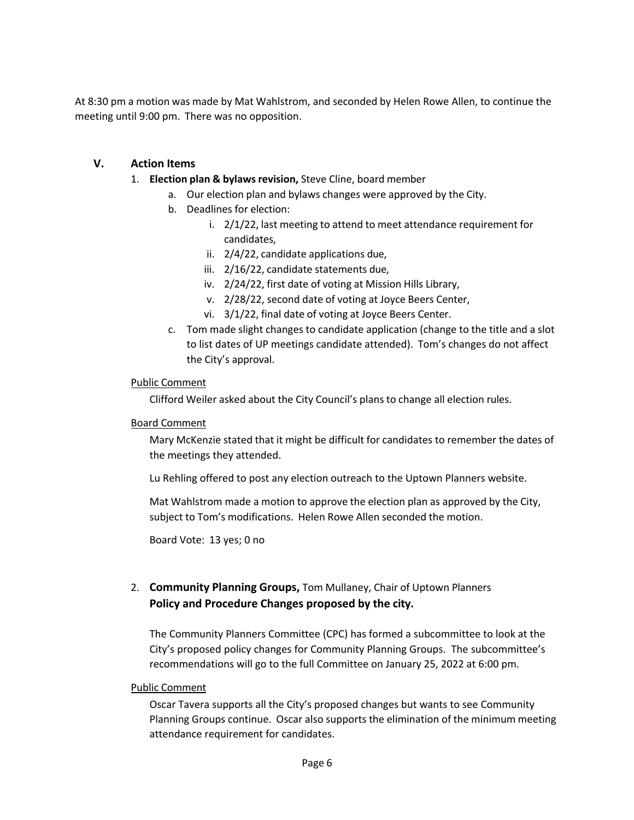At 8:30 pm a motion was made by Mat Wahlstrom, and seconded by Helen Rowe Allen, to continue the meeting until 9:00 pm. There was no opposition.

# **V. Action Items**

- 1. **Election plan & bylawsrevision,** Steve Cline, board member
	- a. Our election plan and bylaws changes were approved by the City.
	- b. Deadlines for election:
		- i. 2/1/22, last meeting to attend to meet attendance requirement for candidates,
		- ii. 2/4/22, candidate applications due,
		- iii. 2/16/22, candidate statements due,
		- iv. 2/24/22, first date of voting at Mission Hills Library,
		- v. 2/28/22, second date of voting at Joyce Beers Center,
		- vi. 3/1/22, final date of voting at Joyce Beers Center.
	- c. Tom made slight changes to candidate application (change to the title and a slot to list dates of UP meetings candidate attended). Tom's changes do not affect the City's approval.

## Public Comment

Clifford Weiler asked about the City Council's plans to change all election rules.

## Board Comment

Mary McKenzie stated that it might be difficult for candidates to remember the dates of the meetings they attended.

Lu Rehling offered to post any election outreach to the Uptown Planners website.

Mat Wahlstrom made a motion to approve the election plan as approved by the City, subject to Tom's modifications. Helen Rowe Allen seconded the motion.

Board Vote: 13 yes; 0 no

# 2. **Community Planning Groups,** Tom Mullaney, Chair of Uptown Planners **Policy and Procedure Changes proposed by the city.**

The Community Planners Committee (CPC) has formed a subcommittee to look at the City's proposed policy changes for Community Planning Groups. The subcommittee's recommendations will go to the full Committee on January 25, 2022 at 6:00 pm.

## Public Comment

Oscar Tavera supports all the City's proposed changes but wants to see Community Planning Groups continue. Oscar also supports the elimination of the minimum meeting attendance requirement for candidates.